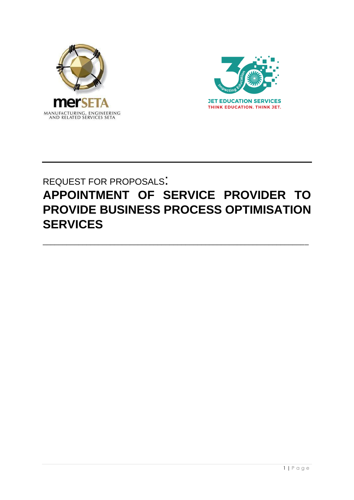



# REQUEST FOR PROPOSALS: **APPOINTMENT OF SERVICE PROVIDER TO PROVIDE BUSINESS PROCESS OPTIMISATION SERVICES**

\_\_\_\_\_\_\_\_\_\_\_\_\_\_\_\_\_\_\_\_\_\_\_\_\_\_\_\_\_\_\_\_\_\_\_\_\_\_\_\_\_\_\_\_\_\_\_\_\_\_\_\_\_\_\_\_\_\_\_\_\_\_\_\_\_\_\_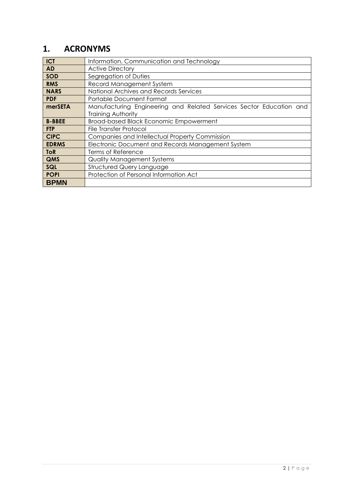### **1. ACRONYMS**

| <b>ICT</b>    | Information, Communication and Technology                           |
|---------------|---------------------------------------------------------------------|
| <b>AD</b>     | <b>Active Directory</b>                                             |
| <b>SOD</b>    | Segregation of Duties                                               |
| <b>RMS</b>    | Record Management System                                            |
| <b>NARS</b>   | National Archives and Records Services                              |
| <b>PDF</b>    | Portable Document Format                                            |
| merSETA       | Manufacturing Engineering and Related Services Sector Education and |
|               | Training Authority                                                  |
| <b>B-BBEE</b> | <b>Broad-based Black Economic Empowerment</b>                       |
| <b>FTP</b>    | <b>File Transfer Protocol</b>                                       |
| <b>CIPC</b>   | Companies and Intellectual Property Commission                      |
| <b>EDRMS</b>  | Electronic Document and Records Management System                   |
| <b>ToR</b>    | Terms of Reference                                                  |
| QMS           | <b>Quality Management Systems</b>                                   |
| SQL           | <b>Structured Query Language</b>                                    |
| <b>POPI</b>   | Protection of Personal Information Act                              |
| <b>BPMN</b>   |                                                                     |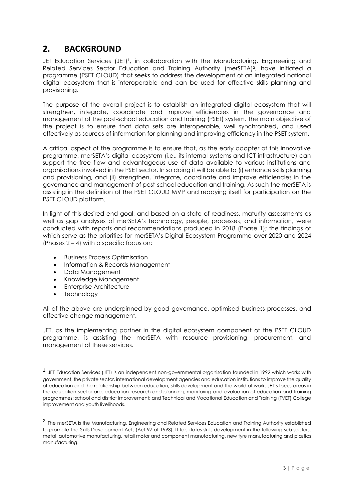### **2. BACKGROUND**

JET Education Services (JET)<sup>1</sup>, in collaboration with the Manufacturing, Engineering and Related Services Sector Education and Training Authority (merSETA)2, have initiated a programme (PSET CLOUD) that seeks to address the development of an integrated national digital ecosystem that is interoperable and can be used for effective skills planning and provisioning.

The purpose of the overall project is to establish an integrated digital ecosystem that will strengthen, integrate, coordinate and improve efficiencies in the governance and management of the post-school education and training (PSET) system. The main objective of the project is to ensure that data sets are interoperable, well synchronized, and used effectively as sources of information for planning and improving efficiency in the PSET system.

A critical aspect of the programme is to ensure that, as the early adopter of this innovative programme, merSETA's digital ecosystem (i.e., its internal systems and ICT infrastructure) can support the free flow and advantageous use of data available to various institutions and organisations involved in the PSET sector. In so doing it will be able to (i) enhance skills planning and provisioning, and (ii) strengthen, integrate, coordinate and improve efficiencies in the governance and management of post-school education and training. As such the merSETA is assisting in the definition of the PSET CLOUD MVP and readying itself for participation on the PSET CLOUD platform.

In light of this desired end goal, and based on a state of readiness, maturity assessments as well as gap analyses of merSETA's technology, people, processes, and information, were conducted with reports and recommendations produced in 2018 (Phase 1); the findings of which serve as the priorities for merSETA's Digital Ecosystem Programme over 2020 and 2024 (Phases  $2 - 4$ ) with a specific focus on:

- Business Process Optimisation
- Information & Records Management
- Data Management
- Knowledge Management
- Enterprise Architecture
- Technology

1

All of the above are underpinned by good governance, optimised business processes, and effective change management.

JET, as the implementing partner in the digital ecosystem component of the PSET CLOUD programme, is assisting the merSETA with resource provisioning, procurement, and management of these services.

<sup>1</sup> JET Education Services (JET) is an independent non-governmental organisation founded in 1992 which works with government, the private sector, international development agencies and education institutions to improve the quality of education and the relationship between education, skills development and the world of work. JET's focus areas in the education sector are: education research and planning; monitoring and evaluation of education and training programmes; school and district improvement; and Technical and Vocational Education and Training (TVET) College improvement and youth livelihoods.

<sup>2</sup> The merSETA is the Manufacturing, Engineering and Related Services Education and Training Authority established to promote the Skills Development Act, (Act 97 of 1998). It facilitates skills development in the following sub sectors: metal, automotive manufacturing, retail motor and component manufacturing, new tyre manufacturing and plastics manufacturing.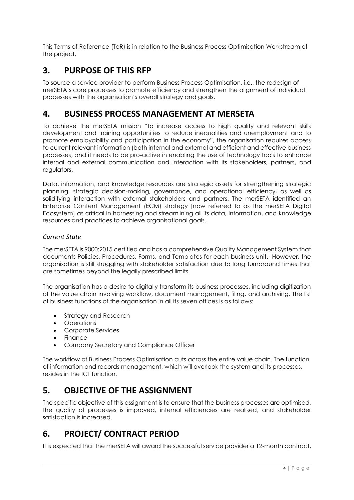This Terms of Reference (ToR) is in relation to the Business Process Optimisation Workstream of the project.

## **3. PURPOSE OF THIS RFP**

To source a service provider to perform Business Process Optimisation, i.e., the redesign of merSETA's core processes to promote efficiency and strengthen the alignment of individual processes with the organisation's overall strategy and goals.

### **4. BUSINESS PROCESS MANAGEMENT AT MERSETA**

To achieve the merSETA mission "to increase access to high quality and relevant skills development and training opportunities to reduce inequalities and unemployment and to promote employability and participation in the economy", the organisation requires access to current relevant information (both internal and external and efficient and effective business processes, and it needs to be pro-active in enabling the use of technology tools to enhance internal and external communication and interaction with its stakeholders, partners, and regulators.

Data, information, and knowledge resources are strategic assets for strengthening strategic planning, strategic decision-making, governance, and operational efficiency, as well as solidifying interaction with external stakeholders and partners. The merSETA identified an Enterprise Content Management (ECM) strategy [now referred to as the merSETA Digital Ecosystem] as critical in harnessing and streamlining all its data, information, and knowledge resources and practices to achieve organisational goals.

#### *Current State*

The merSETA is 9000:2015 certified and has a comprehensive Quality Management System that documents Policies, Procedures, Forms, and Templates for each business unit. However, the organisation is still struggling with stakeholder satisfaction due to long turnaround times that are sometimes beyond the legally prescribed limits.

The organisation has a desire to digitally transform its business processes, including digitization of the value chain involving workflow, document management, filing, and archiving. The list of business functions of the organisation in all its seven offices is as follows:

- Strategy and Research
- Operations
- Corporate Services
- Finance
- Company Secretary and Compliance Officer

The workflow of Business Process Optimisation cuts across the entire value chain. The function of information and records management, which will overlook the system and its processes, resides in the ICT function.

# **5. OBJECTIVE OF THE ASSIGNMENT**

The specific objective of this assignment is to ensure that the business processes are optimised, the quality of processes is improved, internal efficiencies are realised, and stakeholder satisfaction is increased.

# **6. PROJECT/ CONTRACT PERIOD**

It is expected that the merSETA will award the successful service provider a 12-month contract.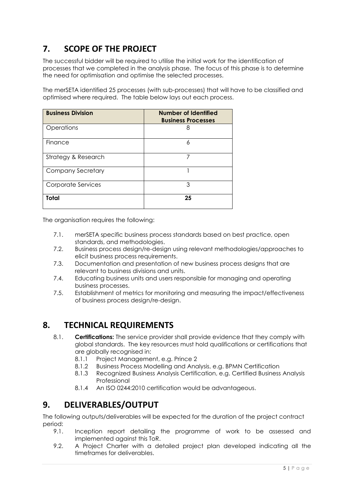# **7. SCOPE OF THE PROJECT**

The successful bidder will be required to utilise the initial work for the identification of processes that we completed in the analysis phase. The focus of this phase is to determine the need for optimisation and optimise the selected processes.

The merSETA identified 25 processes (with sub-processes) that will have to be classified and optimised where required. The table below lays out each process.

| <b>Business Division</b> | Number of Identified<br><b>Business Processes</b> |
|--------------------------|---------------------------------------------------|
| Operations               | 8                                                 |
| Finance                  | 6                                                 |
| Strategy & Research      | 7                                                 |
| <b>Company Secretary</b> |                                                   |
| Corporate Services       | 3                                                 |
| Total                    | 25                                                |

The organisation requires the following:

- 7.1. merSETA specific business process standards based on best practice, open standards, and methodologies.
- 7.2. Business process design/re-design using relevant methodologies/approaches to elicit business process requirements.
- 7.3. Documentation and presentation of new business process designs that are relevant to business divisions and units.
- 7.4. Educating business units and users responsible for managing and operating business processes.
- 7.5. Establishment of metrics for monitoring and measuring the impact/effectiveness of business process design/re-design.

### **8. TECHNICAL REQUIREMENTS**

- 8.1. **Certifications:** The service provider shall provide evidence that they comply with global standards. The key resources must hold qualifications or certifications that are globally recognised in:
	- 8.1.1 Project Management, e.g. Prince 2
	- 8.1.2 Business Process Modelling and Analysis, e.g. BPMN Certification
	- 8.1.3 Recognized Business Analysis Certification, e.g. Certified Business Analysis Professional
	- 8.1.4 An ISO 0244:2010 certification would be advantageous.

### **9. DELIVERABLES/OUTPUT**

The following outputs/deliverables will be expected for the duration of the project contract period:

- 9.1. Inception report detailing the programme of work to be assessed and implemented against this ToR.
- 9.2. A Project Charter with a detailed project plan developed indicating all the timeframes for deliverables.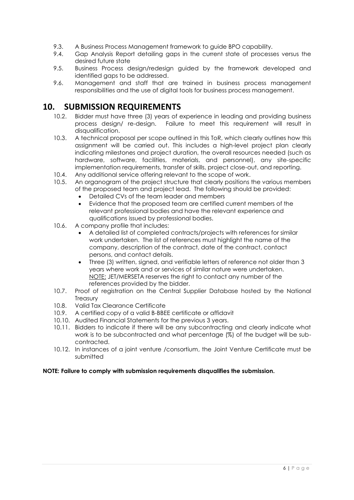- 9.3. A Business Process Management framework to guide BPO capability.
- 9.4. Gap Analysis Report detailing gaps in the current state of processes versus the desired future state
- 9.5. Business Process design/redesign guided by the framework developed and identified gaps to be addressed.
- 9.6. Management and staff that are trained in business process management responsibilities and the use of digital tools for business process management.

#### **10. SUBMISSION REQUIREMENTS**

- 10.2. Bidder must have three (3) years of experience in leading and providing business process design/ re-design. Failure to meet this requirement will result in disqualification.
- 10.3. A technical proposal per scope outlined in this ToR, which clearly outlines how this assignment will be carried out. This includes a high-level project plan clearly indicating milestones and project duration, the overall resources needed (such as hardware, software, facilities, materials, and personnel), any site-specific implementation requirements, transfer of skills, project close-out, and reporting.
- 10.4. Any additional service offering relevant to the scope of work.
- 10.5. An organogram of the project structure that clearly positions the various members of the proposed team and project lead. The following should be provided:
	- Detailed CVs of the team leader and members
	- Evidence that the proposed team are certified current members of the relevant professional bodies and have the relevant experience and qualifications issued by professional bodies.
- 10.6. A company profile that includes:
	- A detailed list of completed contracts/projects with references for similar work undertaken. The list of references must highlight the name of the company, description of the contract, date of the contract, contact persons, and contact details.
	- Three (3) written, signed, and verifiable letters of reference not older than 3 years where work and or services of similar nature were undertaken. NOTE: JET/MERSETA reserves the right to contact any number of the references provided by the bidder.
- 10.7. Proof of registration on the Central Supplier Database hosted by the National **Treasury**
- 10.8. Valid Tax Clearance Certificate
- 10.9. A certified copy of a valid B-BBEE certificate or affidavit
- 10.10. Audited Financial Statements for the previous 3 years.
- 10.11. Bidders to indicate if there will be any subcontracting and clearly indicate what work is to be subcontracted and what percentage (%) of the budget will be subcontracted.
- 10.12. In instances of a joint venture /consortium, the Joint Venture Certificate must be submitted

#### **NOTE: Failure to comply with submission requirements disqualifies the submission.**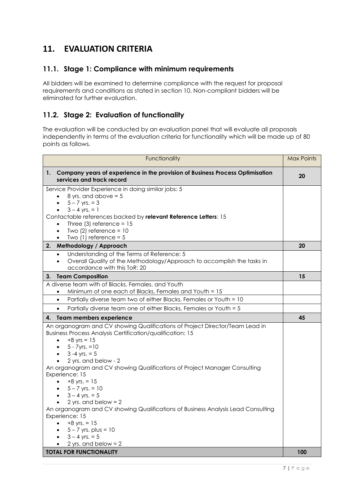# **11. EVALUATION CRITERIA**

#### **11.1. Stage 1: Compliance with minimum requirements**

All bidders will be examined to determine compliance with the request for proposal requirements and conditions as stated in section 10. Non-compliant bidders will be eliminated for further evaluation.

#### **11.2. Stage 2: Evaluation of functionality**

The evaluation will be conducted by an evaluation panel that will evaluate all proposals independently in terms of the evaluation criteria for functionality which will be made up of 80 points as follows.

| Functionality                                                                                                 | <b>Max Points</b> |  |
|---------------------------------------------------------------------------------------------------------------|-------------------|--|
| 1. Company years of experience in the provision of Business Process Optimisation<br>services and track record | 20                |  |
| Service Provider Experience in doing similar jobs: 5                                                          |                   |  |
| 8 yrs. and above $= 5$<br>$\bullet$                                                                           |                   |  |
| $5 - 7$ yrs. = 3<br>$\bullet$                                                                                 |                   |  |
| $3 - 4$ yrs. = 1                                                                                              |                   |  |
| Contactable references backed by relevant Reference Letters: 15                                               |                   |  |
| Three $(3)$ reference = 15<br>$\bullet$<br>Two $(2)$ reference = 10<br>٠                                      |                   |  |
| Two $(1)$ reference = 5                                                                                       |                   |  |
| Methodology / Approach<br>2.                                                                                  |                   |  |
| Understanding of the Terms of Reference: 5                                                                    |                   |  |
| Overall Quality of the Methodology/Approach to accomplish the tasks in<br>$\bullet$                           |                   |  |
| accordance with this ToR: 20                                                                                  |                   |  |
| <b>Team Composition</b><br>3.                                                                                 |                   |  |
| A diverse team with of Blacks, Females, and Youth                                                             |                   |  |
| Minimum of one each of Blacks, Females and Youth = 15                                                         |                   |  |
| Partially diverse team two of either Blacks, Females or Youth = 10<br>$\bullet$                               |                   |  |
| Partially diverse team one of either Blacks, Females or Youth = 5<br>$\bullet$                                |                   |  |
| Team members experience<br>4.                                                                                 | 45                |  |
| An organogram and CV showing Qualifications of Project Director/Team Lead in                                  |                   |  |
| <b>Business Process Analysis Certification/qualification: 15</b>                                              |                   |  |
| $+8$ yrs = 15<br>$\bullet$                                                                                    |                   |  |
| • $5 - 7yrs = 10$                                                                                             |                   |  |
| $3 - 4$ yrs. = 5<br>$\bullet$                                                                                 |                   |  |
| 2 yrs. and below - 2                                                                                          |                   |  |
| An organogram and CV showing Qualifications of Project Manager Consulting                                     |                   |  |
| Experience: 15<br>$+8$ yrs. = 15<br>$\bullet$                                                                 |                   |  |
| • $5 - 7$ yrs. = 10                                                                                           |                   |  |
| • $3 - 4$ yrs. = 5                                                                                            |                   |  |
| 2 yrs. and below = $2$                                                                                        |                   |  |
| An organogram and CV showing Qualifications of Business Analysis Lead Consulting                              |                   |  |
| Experience: 15                                                                                                |                   |  |
| $+8$ yrs. = 15                                                                                                |                   |  |
| $5 - 7$ yrs. plus = 10                                                                                        |                   |  |
| $3 - 4$ yrs. = 5<br>$\bullet$                                                                                 |                   |  |
| 2 yrs. and below = $2$                                                                                        |                   |  |
| <b>TOTAL FOR FUNCTIONALITY</b>                                                                                |                   |  |